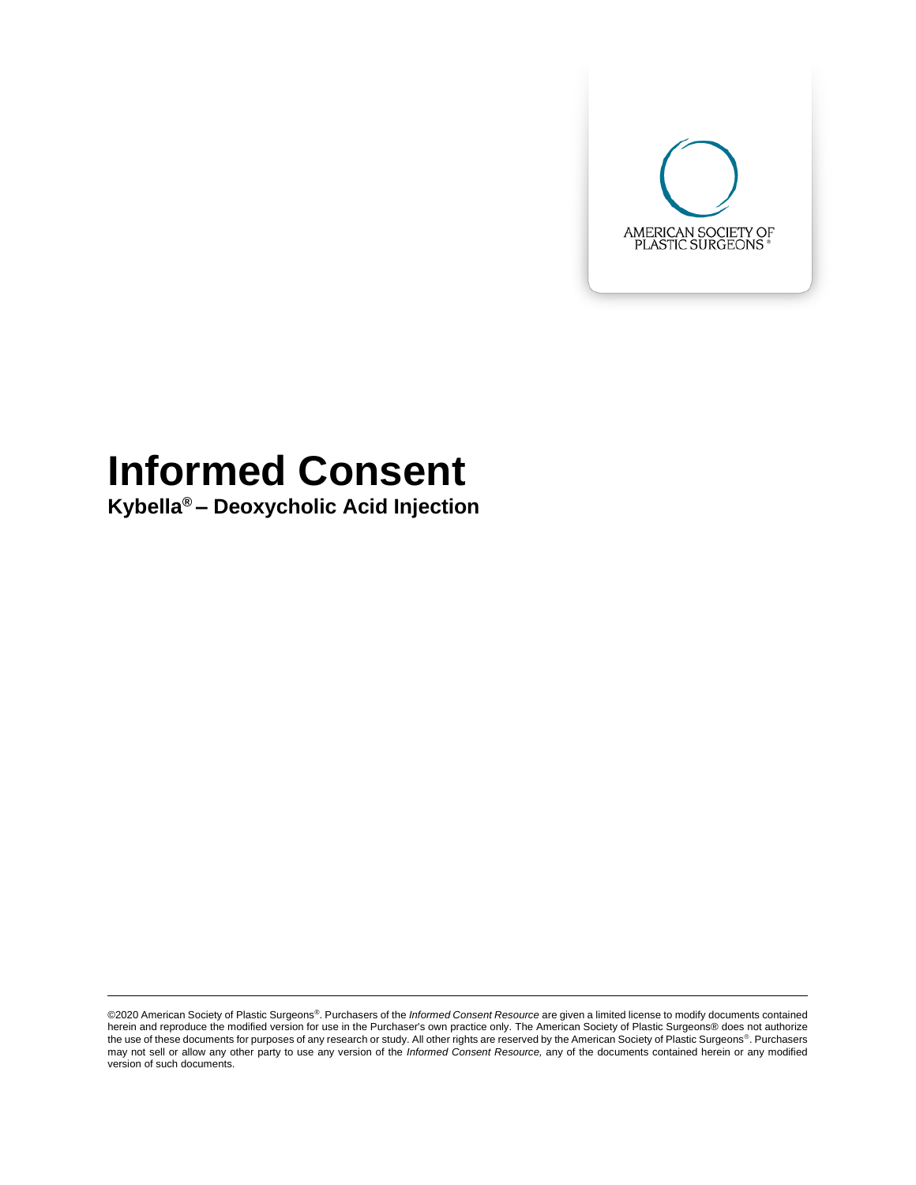

# **Informed Consent**

**Kybella® – Deoxycholic Acid Injection**

<sup>©2020</sup> American Society of Plastic Surgeons®. Purchasers of the *Informed Consent Resource* are given a limited license to modify documents contained herein and reproduce the modified version for use in the Purchaser's own practice only. The American Society of Plastic Surgeons® does not authorize the use of these documents for purposes of any research or study. All other rights are reserved by the American Society of Plastic Surgeons®. Purchasers may not sell or allow any other party to use any version of the *Informed Consent Resource,* any of the documents contained herein or any modified version of such documents.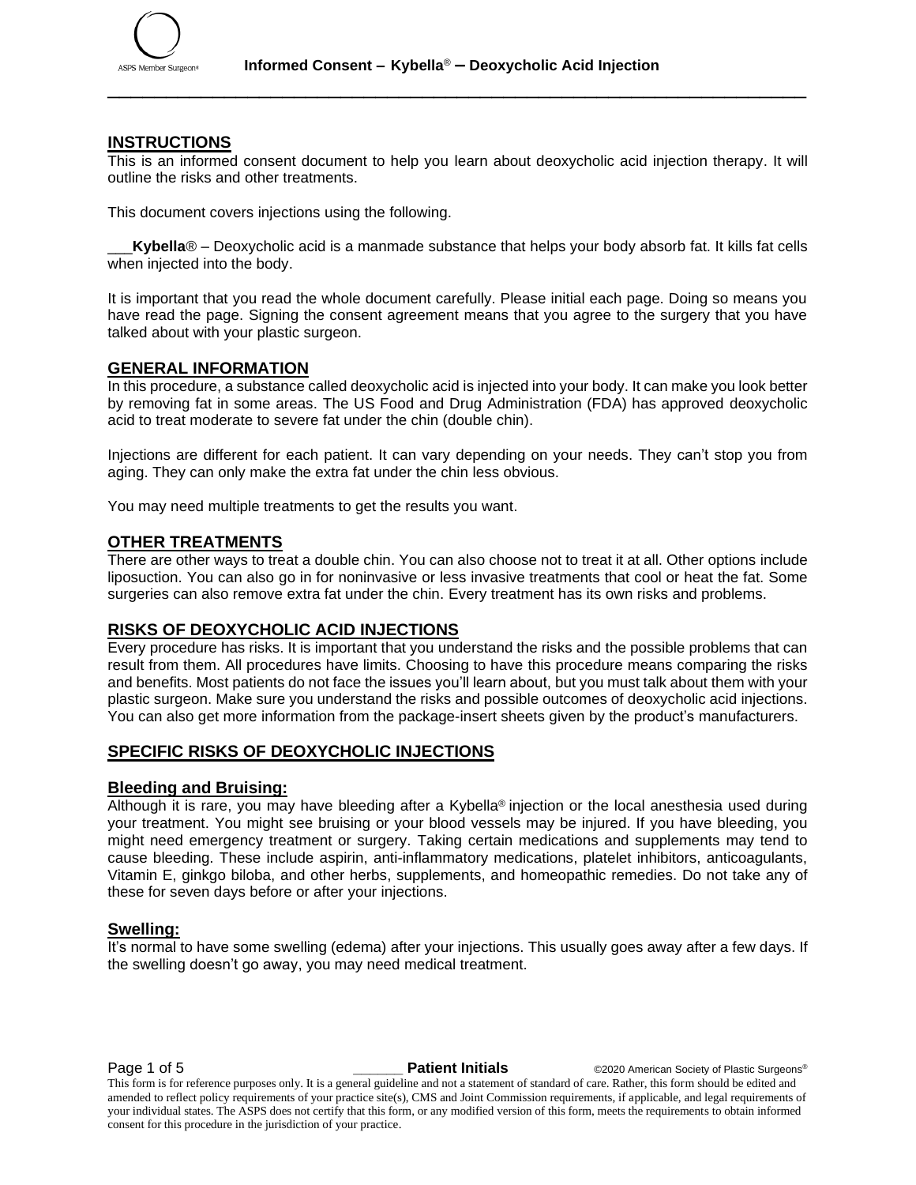

#### **INSTRUCTIONS**

This is an informed consent document to help you learn about deoxycholic acid injection therapy. It will outline the risks and other treatments.

This document covers injections using the following.

Kybella<sup>®</sup> – Deoxycholic acid is a manmade substance that helps your body absorb fat. It kills fat cells when injected into the body.

It is important that you read the whole document carefully. Please initial each page. Doing so means you have read the page. Signing the consent agreement means that you agree to the surgery that you have talked about with your plastic surgeon.

#### **GENERAL INFORMATION**

In this procedure, a substance called deoxycholic acid is injected into your body. It can make you look better by removing fat in some areas. The US Food and Drug Administration (FDA) has approved deoxycholic acid to treat moderate to severe fat under the chin (double chin).

Injections are different for each patient. It can vary depending on your needs. They can't stop you from aging. They can only make the extra fat under the chin less obvious.

You may need multiple treatments to get the results you want.

#### **OTHER TREATMENTS**

There are other ways to treat a double chin. You can also choose not to treat it at all. Other options include liposuction. You can also go in for noninvasive or less invasive treatments that cool or heat the fat. Some surgeries can also remove extra fat under the chin. Every treatment has its own risks and problems.

#### **RISKS OF DEOXYCHOLIC ACID INJECTIONS**

Every procedure has risks. It is important that you understand the risks and the possible problems that can result from them. All procedures have limits. Choosing to have this procedure means comparing the risks and benefits. Most patients do not face the issues you'll learn about, but you must talk about them with your plastic surgeon. Make sure you understand the risks and possible outcomes of deoxycholic acid injections. You can also get more information from the package-insert sheets given by the product's manufacturers.

#### **SPECIFIC RISKS OF DEOXYCHOLIC INJECTIONS**

#### **Bleeding and Bruising:**

Although it is rare, you may have bleeding after a Kybella® injection or the local anesthesia used during your treatment. You might see bruising or your blood vessels may be injured. If you have bleeding, you might need emergency treatment or surgery. Taking certain medications and supplements may tend to cause bleeding. These include aspirin, anti-inflammatory medications, platelet inhibitors, anticoagulants, Vitamin E, ginkgo biloba, and other herbs, supplements, and homeopathic remedies. Do not take any of these for seven days before or after your injections.

#### **Swelling:**

It's normal to have some swelling (edema) after your injections. This usually goes away after a few days. If the swelling doesn't go away, you may need medical treatment.

Page 1 of 5 **\_\_\_\_\_\_ Patient Initials** ©2020 American Society of Plastic Surgeons®

This form is for reference purposes only. It is a general guideline and not a statement of standard of care. Rather, this form should be edited and amended to reflect policy requirements of your practice site(s), CMS and Joint Commission requirements, if applicable, and legal requirements of your individual states. The ASPS does not certify that this form, or any modified version of this form, meets the requirements to obtain informed consent for this procedure in the jurisdiction of your practice.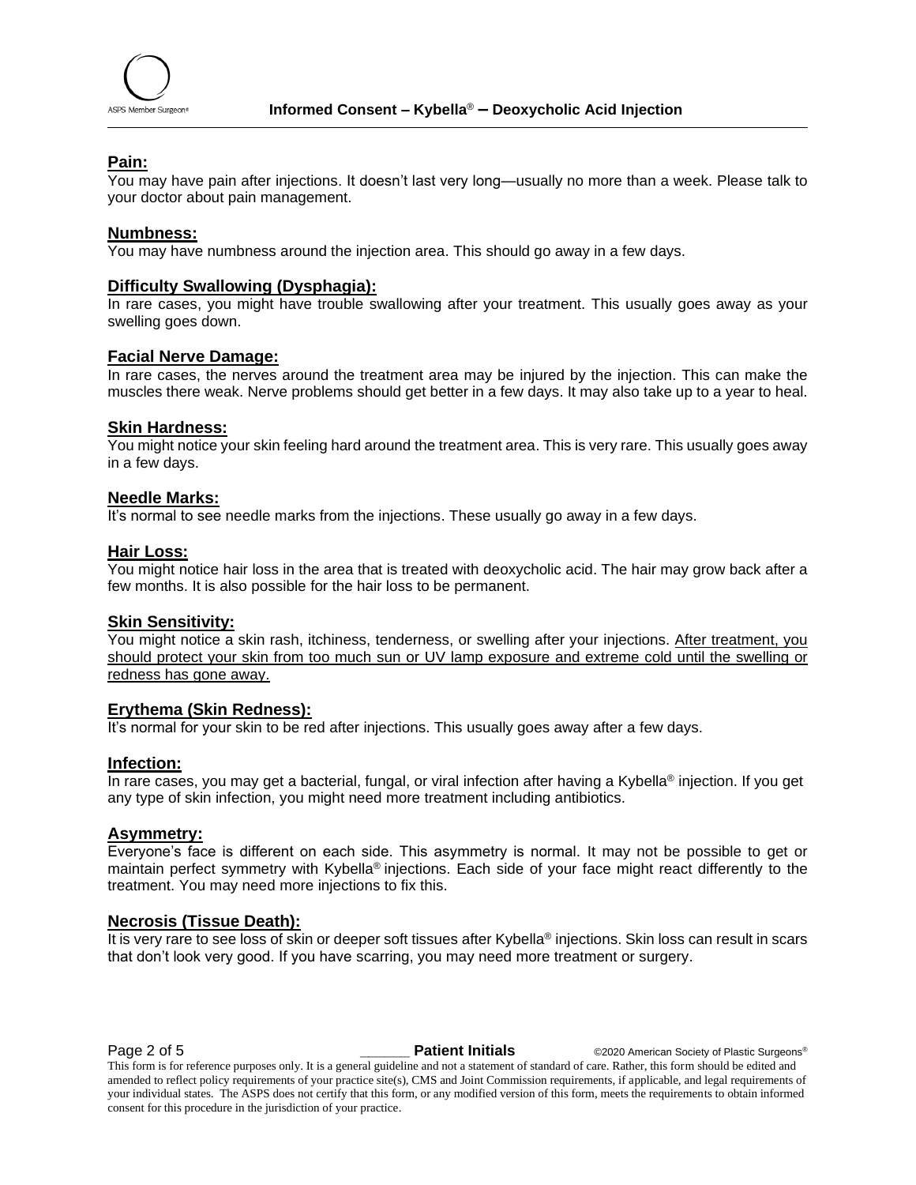

### **Pain:**

You may have pain after injections. It doesn't last very long—usually no more than a week. Please talk to your doctor about pain management.

#### **Numbness:**

You may have numbness around the injection area. This should go away in a few days.

#### **Difficulty Swallowing (Dysphagia):**

In rare cases, you might have trouble swallowing after your treatment. This usually goes away as your swelling goes down.

#### **Facial Nerve Damage:**

In rare cases, the nerves around the treatment area may be injured by the injection. This can make the muscles there weak. Nerve problems should get better in a few days. It may also take up to a year to heal.

#### **Skin Hardness:**

You might notice your skin feeling hard around the treatment area. This is very rare. This usually goes away in a few days.

#### **Needle Marks:**

It's normal to see needle marks from the injections. These usually go away in a few days.

#### **Hair Loss:**

You might notice hair loss in the area that is treated with deoxycholic acid. The hair may grow back after a few months. It is also possible for the hair loss to be permanent.

### **Skin Sensitivity:**

You might notice a skin rash, itchiness, tenderness, or swelling after your injections. After treatment, you should protect your skin from too much sun or UV lamp exposure and extreme cold until the swelling or redness has gone away.

#### **Erythema (Skin Redness):**

It's normal for your skin to be red after injections. This usually goes away after a few days.

#### **Infection:**

In rare cases, you may get a bacterial, fungal, or viral infection after having a Kybella<sup>®</sup> injection. If you get any type of skin infection, you might need more treatment including antibiotics.

#### **Asymmetry:**

Everyone's face is different on each side. This asymmetry is normal. It may not be possible to get or maintain perfect symmetry with Kybella® injections. Each side of your face might react differently to the treatment. You may need more injections to fix this.

#### **Necrosis (Tissue Death):**

It is very rare to see loss of skin or deeper soft tissues after Kybella® injections. Skin loss can result in scars that don't look very good. If you have scarring, you may need more treatment or surgery.

**Page 2 of 5 Patient Initials COVID-2020** American Society of Plastic Surgeons®

This form is for reference purposes only. It is a general guideline and not a statement of standard of care. Rather, this form should be edited and amended to reflect policy requirements of your practice site(s), CMS and Joint Commission requirements, if applicable, and legal requirements of your individual states. The ASPS does not certify that this form, or any modified version of this form, meets the requirements to obtain informed consent for this procedure in the jurisdiction of your practice.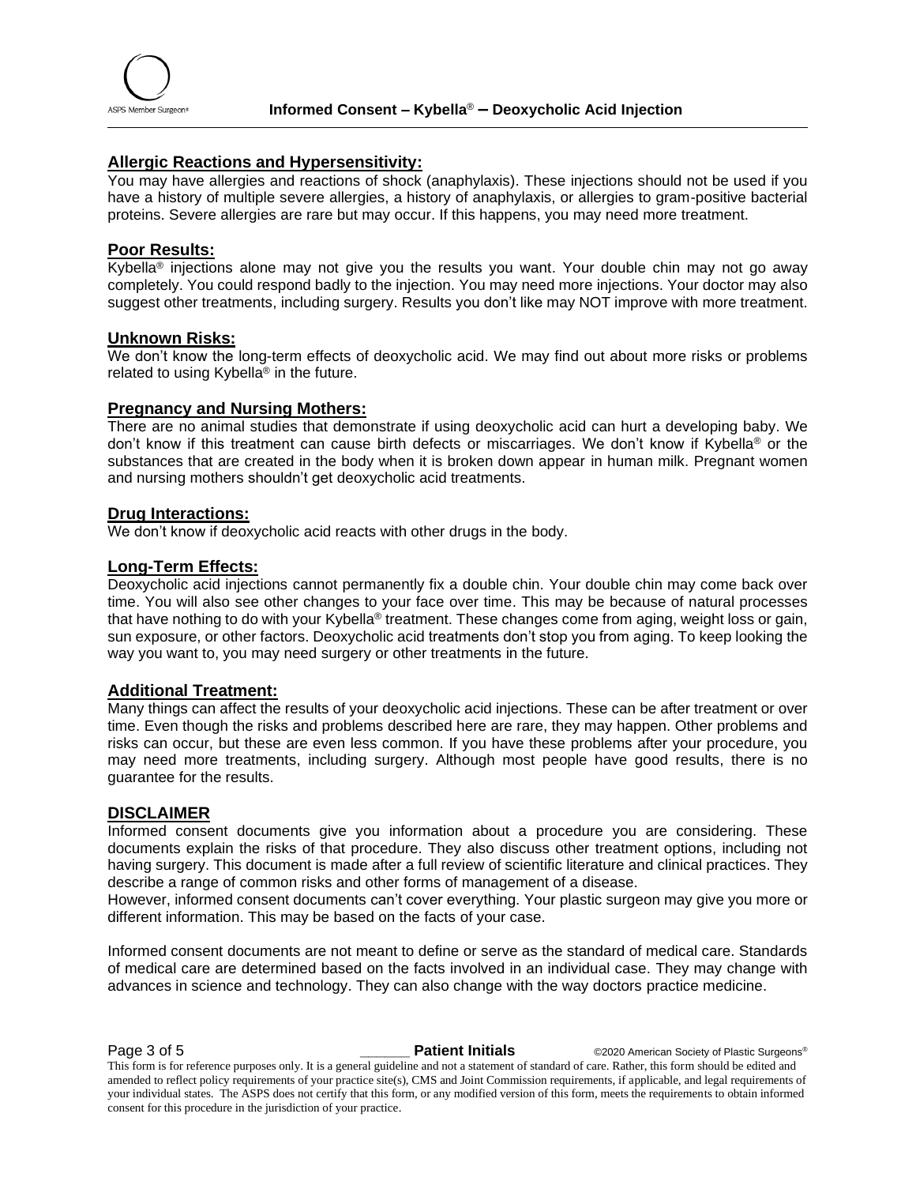#### **Allergic Reactions and Hypersensitivity:**

You may have allergies and reactions of shock (anaphylaxis). These injections should not be used if you have a history of multiple severe allergies, a history of anaphylaxis, or allergies to gram-positive bacterial proteins. Severe allergies are rare but may occur. If this happens, you may need more treatment.

#### **Poor Results:**

Kybella® injections alone may not give you the results you want. Your double chin may not go away completely. You could respond badly to the injection. You may need more injections. Your doctor may also suggest other treatments, including surgery. Results you don't like may NOT improve with more treatment.

#### **Unknown Risks:**

We don't know the long-term effects of deoxycholic acid. We may find out about more risks or problems related to using Kybella® in the future.

#### **Pregnancy and Nursing Mothers:**

There are no animal studies that demonstrate if using deoxycholic acid can hurt a developing baby. We don't know if this treatment can cause birth defects or miscarriages. We don't know if Kybella® or the substances that are created in the body when it is broken down appear in human milk. Pregnant women and nursing mothers shouldn't get deoxycholic acid treatments.

#### **Drug Interactions:**

We don't know if deoxycholic acid reacts with other drugs in the body.

#### **Long-Term Effects:**

Deoxycholic acid injections cannot permanently fix a double chin. Your double chin may come back over time. You will also see other changes to your face over time. This may be because of natural processes that have nothing to do with your Kybella® treatment. These changes come from aging, weight loss or gain, sun exposure, or other factors. Deoxycholic acid treatments don't stop you from aging. To keep looking the way you want to, you may need surgery or other treatments in the future.

#### **Additional Treatment:**

Many things can affect the results of your deoxycholic acid injections. These can be after treatment or over time. Even though the risks and problems described here are rare, they may happen. Other problems and risks can occur, but these are even less common. If you have these problems after your procedure, you may need more treatments, including surgery. Although most people have good results, there is no guarantee for the results.

#### **DISCLAIMER**

Informed consent documents give you information about a procedure you are considering. These documents explain the risks of that procedure. They also discuss other treatment options, including not having surgery. This document is made after a full review of scientific literature and clinical practices. They describe a range of common risks and other forms of management of a disease.

However, informed consent documents can't cover everything. Your plastic surgeon may give you more or different information. This may be based on the facts of your case.

Informed consent documents are not meant to define or serve as the standard of medical care. Standards of medical care are determined based on the facts involved in an individual case. They may change with advances in science and technology. They can also change with the way doctors practice medicine.

**Page 3 of 5 Patient Initials COVID-2020** American Society of Plastic Surgeons®

This form is for reference purposes only. It is a general guideline and not a statement of standard of care. Rather, this form should be edited and amended to reflect policy requirements of your practice site(s), CMS and Joint Commission requirements, if applicable, and legal requirements of your individual states. The ASPS does not certify that this form, or any modified version of this form, meets the requirements to obtain informed consent for this procedure in the jurisdiction of your practice.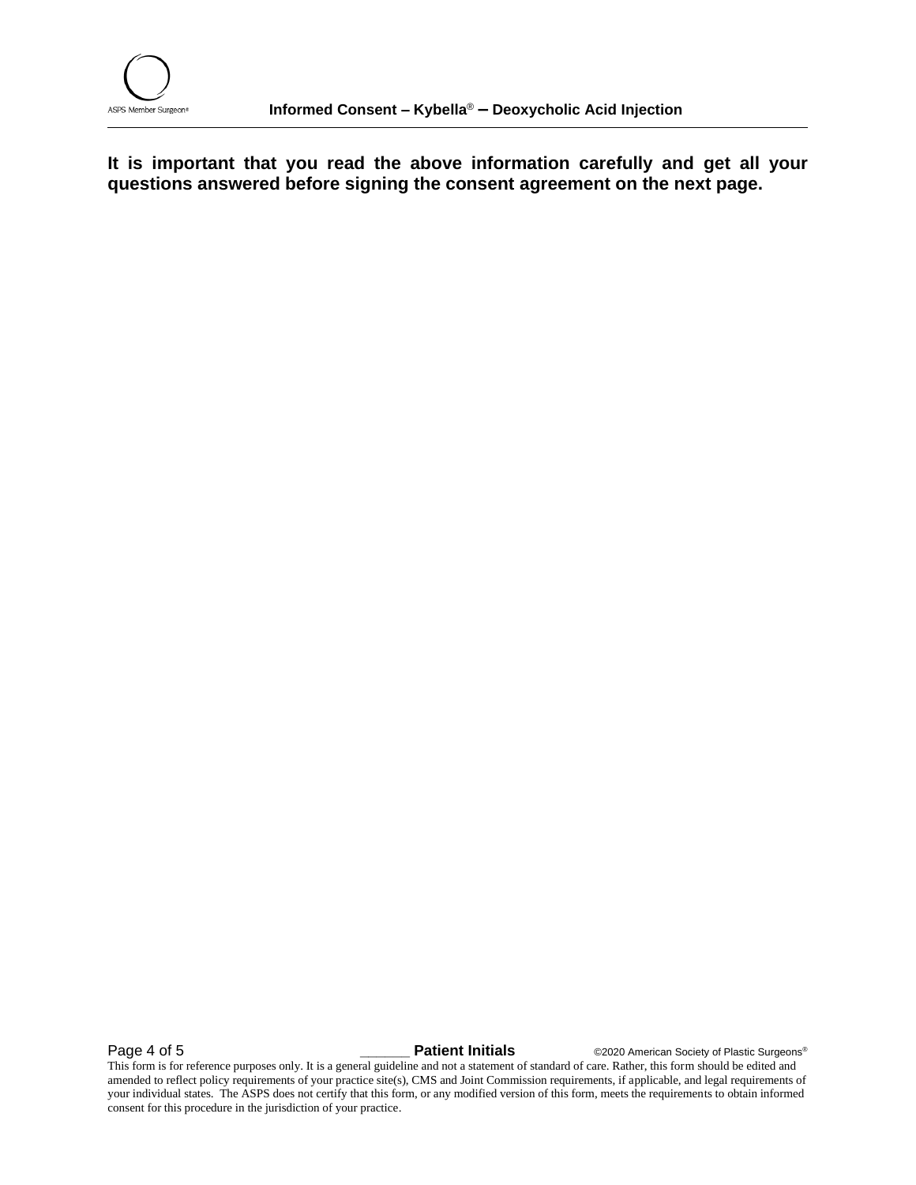**It is important that you read the above information carefully and get all your questions answered before signing the consent agreement on the next page.**

**Page 4 of 5 Later Constraint Patient Initials C2020** American Society of Plastic Surgeons®

This form is for reference purposes only. It is a general guideline and not a statement of standard of care. Rather, this form should be edited and amended to reflect policy requirements of your practice site(s), CMS and Joint Commission requirements, if applicable, and legal requirements of your individual states. The ASPS does not certify that this form, or any modified version of this form, meets the requirements to obtain informed consent for this procedure in the jurisdiction of your practice.